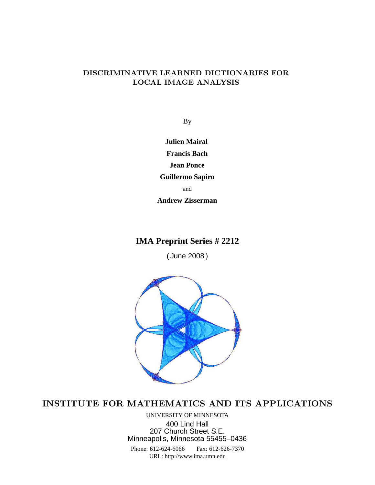# DISCRIMINATIVE LEARNED DICTIONARIES FOR LOCAL IMAGE ANALYSIS

By

**Julien Mairal Francis Bach Jean Ponce Guillermo Sapiro** and **Andrew Zisserman**

# **IMA Preprint Series # 2212**

( June 2008 )



# INSTITUTE FOR MATHEMATICS AND ITS APPLICATIONS

UNIVERSITY OF MINNESOTA 400 Lind Hall 207 Church Street S.E. Minneapolis, Minnesota 55455–0436

Phone: 612-624-6066 Fax: 612-626-7370 URL: http://www.ima.umn.edu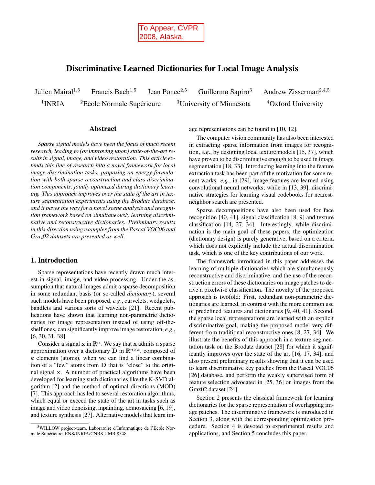

# **Discriminative Learned Dictionaries for Local Image Analysis**

Julien Mairal<sup>1,5</sup> Francis Bach<sup>1,5</sup> Jean Ponce<sup>2,5</sup> Guillermo Sapiro<sup>3</sup> Andrew Zisserman<sup>2,4,5</sup>  $1$ INRIA <sup>2</sup>Ecole Normale Supérieure  $3$ University of Minnesota  $4$ Oxford University

#### **Abstract**

*Sparse signal models have been the focus of much recent research, leading to (or improving upon) state-of-the-art results in signal, image, and video restoration. This article extends this line of research into a novel framework for local image discrimination tasks, proposing an energy formulation with both sparse reconstruction and class discrimination components, jointly optimized during dictionary learning. This approach improves over the state of the art in texture segmentation experiments using the Brodatz database, and it paves the way for a novel scene analysis and recognition framework based on simultaneously learning discriminative and reconstructive dictionaries. Preliminary results in this direction using examples from the Pascal VOC06 and Graz02 datasets are presented as well.*

## **1. Introduction**

Sparse representations have recently drawn much interest in signal, image, and video processing. Under the assumption that natural images admit a sparse decomposition in some redundant basis (or so-called *dictionary*), several such models have been proposed, *e.g*., curvelets, wedgelets, bandlets and various sorts of wavelets [21]. Recent publications have shown that learning non-parametric dictionaries for image representation instead of using off-theshelf ones, can significantly improve image restoration, *e.g*., [6, 30, 31, 38].

Consider a signal  $x$  in  $\mathbb{R}^n$ . We say that x admits a sparse approximation over a dictionary **D** in  $\mathbb{R}^{n \times k}$ , composed of  $k$  elements (atoms), when we can find a linear combination of a "few" atoms from D that is "close" to the original signal x. A number of practical algorithms have been developed for learning such dictionaries like the K-SVD algorithm [2] and the method of optimal directions (MOD) [7]. This approach has led to several restoration algorithms, which equal or exceed the state of the art in tasks such as image and video denoising, inpainting, demosaicing [6, 19], and texture synthesis [27]. Alternative models that learn image representations can be found in [10, 12].

The computer vision community has also been interested in extracting sparse information from images for recognition, *e.g*., by designing local texture models [15, 37], which have proven to be discriminative enough to be used in image segmentation [18, 33]. Introducing learning into the feature extraction task has been part of the motivation for some recent works: *e.g*., in [29], image features are learned using convolutional neural networks; while in [13, 39], discriminative strategies for learning visual codebooks for nearestneighbor search are presented.

Sparse decompositions have also been used for face recognition [40, 41], signal classification [8, 9] and texture classification [14, 27, 34]. Interestingly, while discrimination is the main goal of these papers, the optimization (dictionary design) is purely generative, based on a criteria which does not explicitly include the actual discrimination task, which is one of the key contributions of our work.

The framework introduced in this paper addresses the learning of multiple dictionaries which are simultaneously reconstructive and discriminative, and the use of the reconstruction errors of these dictionaries on image patches to derive a pixelwise classification. The novelty of the proposed approach is twofold: First, redundant non-parametric dictionaries are learned, in contrast with the more common use of predefined features and dictionaries [9, 40, 41]. Second, the sparse local representations are learned with an explicit discriminative goal, making the proposed model very different from traditional reconstructive ones [8, 27, 34]. We illustrate the benefits of this approach in a texture segmentation task on the Brodatz dataset [28] for which it significantly improves over the state of the art [16, 17, 34], and also present preliminary results showing that it can be used to learn discriminative key patches from the Pascal VOC06 [26] database, and perform the weakly supervised form of feature selection advocated in [25, 36] on images from the Graz02 dataset [24].

Section 2 presents the classical framework for learning dictionaries for the sparse representation of overlapping image patches. The discriminative framework is introduced in Section 3, along with the corresponding optimization procedure. Section 4 is devoted to experimental results and applications, and Section 5 concludes this paper.

<sup>5</sup>WILLOW project-team, Laboratoire d'Informatique de l'Ecole Normale Supérieure, ENS/INRIA/CNRS UMR 8548.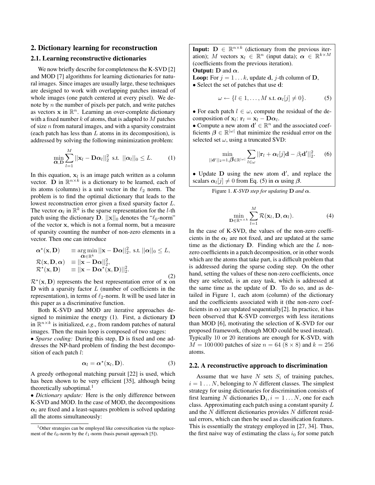## **2. Dictionary learning for reconstruction**

# **2.1. Learning reconstructive dictionaries**

We now briefly describe for completeness the K-SVD [2] and MOD [7] algorithms for learning dictionaries for natural images. Since images are usually large, these techniques are designed to work with overlapping patches instead of whole images (one patch centered at every pixel). We denote by  $n$  the number of pixels per patch, and write patches as vectors  $x$  in  $\mathbb{R}^n$ . Learning an over-complete dictionary with a fixed number  $k$  of atoms, that is adapted to  $M$  patches of size  $n$  from natural images, and with a sparsity constraint (each patch has less than  $L$  atoms in its decomposition), is addressed by solving the following minimization problem:

$$
\min_{\mathbf{\alpha},\mathbf{D}}\sum_{l=1}^{M}||\mathbf{x}_l-\mathbf{D}\mathbf{\alpha}_l||_2^2 \text{ s.t. } ||\mathbf{\alpha}_l||_0 \leq L. \tag{1}
$$

In this equation,  $x_l$  is an image patch written as a column vector. D in  $\mathbb{R}^{n \times k}$  is a dictionary to be learned, each of its atoms (columns) is a unit vector in the  $\ell_2$  norm. The problem is to find the optimal dictionary that leads to the lowest reconstruction error given a fixed sparsity factor L. The vector  $\alpha_l$  in  $\mathbb{R}^k$  is the sparse representation for the l-th patch using the dictionary **D**.  $||\mathbf{x}||_0$  denotes the " $\ell_0$ -norm" of the vector x, which is not a formal norm, but a measure of sparsity counting the number of non-zero elements in a vector. Then one can introduce

$$
\alpha^{\star}(\mathbf{x}, \mathbf{D}) = \underset{\mathbf{\alpha} \in \mathbb{R}^k}{\arg \min} ||\mathbf{x} - \mathbf{D}\mathbf{\alpha}||_2^2, \text{ s.t. } ||\mathbf{\alpha}||_0 \le L, \n\mathcal{R}(\mathbf{x}, \mathbf{D}, \mathbf{\alpha}) = ||\mathbf{x} - \mathbf{D}\mathbf{\alpha}||_2^2, \n\mathcal{R}^{\star}(\mathbf{x}, \mathbf{D}) = ||\mathbf{x} - \mathbf{D}\mathbf{\alpha}^{\star}(\mathbf{x}, \mathbf{D})||_2^2.
$$
\n(2)

 $\mathcal{R}^{\star}(\mathbf{x}, \mathbf{D})$  represents the best representation error of x on  **with a sparsity factor**  $L$  **(number of coefficients in the** representation), in terms of  $\ell_2$ -norm. It will be used later in this paper as a discriminative function.

Both K-SVD and MOD are iterative approaches designed to minimize the energy (1). First, a dictionary D in  $\mathbb{R}^{n \times k}$  is initialized, *e.g.*, from random patches of natural images. Then the main loop is composed of two stages:

• *Sparse coding:* During this step, D is fixed and one addresses the NP-hard problem of finding the best decomposition of each patch l:

$$
\alpha_l = \alpha^{\star}(\mathbf{x}_l, \mathbf{D}). \tag{3}
$$

A greedy orthogonal matching pursuit [22] is used, which has been shown to be very efficient [35], although being theoretically suboptimal.<sup>1</sup>

• *Dictionary update:* Here is the only difference between K-SVD and MOD. In the case of MOD, the decompositions  $\alpha_l$  are fixed and a least-squares problem is solved updating all the atoms simultaneously:

**Input:**  $D \in \mathbb{R}^{n \times k}$  (dictionary from the previous iteration); M vectors  $\mathbf{x}_l \in \mathbb{R}^n$  (input data);  $\alpha \in \mathbb{R}^{k \times M}$ (coefficients from the previous iteration).

## **Output:**  $D$  and  $\alpha$ .

**Loop:** For  $j = 1...k$ , update **d**, j-th column of **D**, • Select the set of patches that use d:

$$
\omega \leftarrow \{l \in 1, \ldots, M \text{ s.t. } \alpha_l[j] \neq 0\}.
$$
 (5)

• For each patch  $l \in \omega$ , compute the residual of the decomposition of  $\mathbf{x}_l$ :  $\mathbf{r}_l = \mathbf{x}_l - \mathbf{D}\alpha_l$ .

• Compute a new atom  $\mathbf{d}' \in \mathbb{R}^n$  and the associated coefficients  $\beta \in \mathbb{R}^{|\omega|}$  that minimize the residual error on the selected set  $\omega$ , using a truncated SVD:

$$
\min_{\vert\vert \mathbf{d}'\vert\vert_2=1,\boldsymbol{\beta}\in\mathbb{R}^{\vert\omega\vert}}\sum_{l\in\omega}\vert\vert \mathbf{r}_l+\boldsymbol{\alpha}_l[j]\mathbf{d}-\beta_l\mathbf{d}'\vert\vert_2^2. \qquad (6)
$$

• Update D using the new atom d', and replace the scalars  $\alpha_l[j] \neq 0$  from Eq. (5) in  $\alpha$  using  $\beta$ .

Figure 1. *K-SVD step for updating*  $D$  *and*  $\alpha$ *.* 

$$
\min_{\mathbf{D}\in\mathbb{R}^{n\times k}}\sum_{l=1}^{M}\mathcal{R}(\mathbf{x}_l,\mathbf{D},\boldsymbol{\alpha}_l).
$$
 (4)

In the case of K-SVD, the values of the non-zero coefficients in the  $\alpha_l$  are not fixed, and are updated at the same time as the dictionary  $D$ . Finding which are the  $L$  nonzero coefficients in a patch decomposition, or in other words which are the atoms that take part, is a difficult problem that is addressed during the sparse coding step. On the other hand, setting the values of these non-zero coefficients, once they are selected, is an easy task, which is addressed at the same time as the update of D. To do so, and as detailed in Figure 1, each atom (column) of the dictionary and the coefficients associated with it (the non-zero coefficients in  $\alpha$ ) are updated sequentially[2]. In practice, it has been observed that K-SVD converges with less iterations than MOD [6], motivating the selection of K-SVD for our proposed framework, (though MOD could be used instead). Typically 10 or 20 iterations are enough for K-SVD, with  $M = 100000$  patches of size  $n = 64 (8 \times 8)$  and  $k = 256$ atoms.

#### **2.2. A reconstructive approach to discrimination**

Assume that we have  $N$  sets  $S_i$  of training patches,  $i = 1 \dots N$ , belonging to N different classes. The simplest strategy for using dictionaries for discrimination consists of first learning N dictionaries  $D_i$ ,  $i = 1...N$ , one for each class. Approximating each patch using a constant sparsity L and the N different dictionaries provides N different residual errors, which can then be used as classification features. This is essentially the strategy employed in [27, 34]. Thus, the first naive way of estimating the class  $i_0$  for some patch

<sup>&</sup>lt;sup>1</sup>Other strategies can be employed like convexification via the replacement of the  $\ell_0$ -norm by the  $\ell_1$ -norm (basis pursuit approach [5]).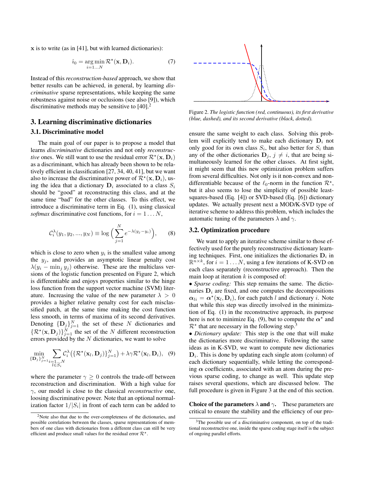x is to write (as in [41], but with learned dictionaries):

$$
\hat{i}_0 = \underset{i=1...N}{\arg \min} \mathcal{R}^{\star}(\mathbf{x}, \mathbf{D}_i). \tag{7}
$$

Instead of this *reconstruction-based* approach, we show that better results can be achieved, in general, by learning *discriminative* sparse representations, while keeping the same robustness against noise or occlusions (see also [9]), which discriminative methods may be sensitive to  $[40]$ <sup>2</sup>

# **3. Learning discriminative dictionaries**

#### **3.1. Discriminative model**

The main goal of our paper is to propose a model that learns *discriminative* dictionaries and not only *reconstructive* ones. We still want to use the residual error  $\mathcal{R}^*(\mathbf{x}, \mathbf{D}_i)$ as a discriminant, which has already been shown to be relatively efficient in classification [27, 34, 40, 41], but we want also to increase the discriminative power of  $\mathcal{R}^*(\mathbf{x}, \mathbf{D}_i)$ , using the idea that a dictionary  $D_i$  associated to a class  $S_i$ should be "good" at reconstructing this class, and at the same time "bad" for the other classes. To this effect, we introduce a discriminative term in Eq. (1), using classical *softmax* discriminative cost functions, for  $i = 1...N$ ,

$$
C_i^{\lambda}(y_1, y_2, ..., y_N) \equiv \log \Big( \sum_{j=1}^N e^{-\lambda(y_j - y_i)} \Big), \qquad (8)
$$

which is close to zero when  $y_i$  is the smallest value among the  $y_j$ , and provides an asymptotic linear penalty cost  $\lambda(y_i - \min_j y_j)$  otherwise. These are the multiclass versions of the logistic function presented on Figure 2, which is differentiable and enjoys properties similar to the hinge loss function from the support vector machine (SVM) literature. Increasing the value of the new parameter  $\lambda > 0$ provides a higher relative penalty cost for each misclassified patch, at the same time making the cost function less smooth, in terms of maxima of its second derivatives. Denoting  $\{D_j\}_{j=1}^N$  the set of these N dictionaries and  $\{R^{\star}(\mathbf{x}, \mathbf{D}_j)\}_{j=1}^N$  the set of the N different reconstruction errors provided by the  $N$  dictionaries, we want to solve

$$
\min_{\{\mathbf{D}_j\}_{j=1}^N} \sum_{\substack{i=1...N\\l\in S_i}} \mathcal{C}_i^{\lambda}\big(\{\mathcal{R}^{\star}(\mathbf{x}_l,\mathbf{D}_j)\}_{j=1}^N\big) + \lambda \gamma \mathcal{R}^{\star}(\mathbf{x}_l,\mathbf{D}_i), \quad (9)
$$

where the parameter  $\gamma \geq 0$  controls the trade-off between reconstruction and discrimination. With a high value for γ, our model is close to the classical *reconstructive* one, loosing discriminative power. Note that an optional normalization factor  $1/|S_i|$  in front of each term can be added to



Figure 2. *The logistic function (red, continuous), its first derivative (blue, dashed), and its second derivative (black, dotted).*

ensure the same weight to each class. Solving this problem will explicitly tend to make each dictionary  $D_i$  not only good for its own class  $S_i$ , but also better for  $S_i$  than any of the other dictionaries  $\mathbf{D}_i$ ,  $j \neq i$ , that are being simultaneously learned for the other classes. At first sight, it might seem that this new optimization problem suffers from several difficulties. Not only is it non-convex and nondifferentiable because of the  $\ell_0$ -norm in the function  $\mathcal{R}^*$ , but it also seems to lose the simplicity of possible leastsquares-based (Eq. [4]) or SVD-based (Eq. [6]) dictionary updates. We actually present next a MOD/K-SVD type of iterative scheme to address this problem, which includes the automatic tuning of the parameters  $\lambda$  and  $\gamma$ .

#### **3.2. Optimization procedure**

We want to apply an iterative scheme similar to those effectively used for the purely reconstructive dictionary learning techniques. First, one initializes the dictionaries  $D_i$  in  $\mathbb{R}^{n \times k}$ , for  $i = 1...N$ , using a few iterations of K-SVD on each class separately (reconstructive approach). Then the main loop at iteration  $k$  is composed of:

• *Sparse coding:* This step remains the same. The dictionaries  $D_i$  are fixed, and one computes the decompositions  $\alpha_{li} = \alpha^*(\mathbf{x}_l, \mathbf{D}_i)$ , for each patch l and dictionary i. Note that while this step was directly involved in the minimization of Eq. (1) in the reconstructive approach, its purpose here is not to minimize Eq. (9), but to compute the  $\alpha^*$  and  $\mathcal{R}^*$  that are necessary in the following step.<sup>3</sup>

• *Dictionary update:* This step is the one that will make the dictionaries more discriminative. Following the same ideas as in K-SVD, we want to compute new dictionaries  $D_i$ . This is done by updating each single atom (column) of each dictionary sequentially, while letting the corresponding  $\alpha$  coefficients, associated with an atom during the previous sparse coding, to change as well. This update step raises several questions, which are discussed below. The full procedure is given in Figure 3 at the end of this section.

**Choice of the parameters**  $\lambda$  **and**  $\gamma$ . These parameters are critical to ensure the stability and the efficiency of our pro-

<sup>2</sup>Note also that due to the over-completeness of the dictionaries, and possible correlations between the classes, sparse representations of members of one class with dictionaries from a different class can still be very efficient and produce small values for the residual error  $\mathcal{R}^*$ .

<sup>&</sup>lt;sup>3</sup>The possible use of a discriminative component, on top of the traditional reconstructive one, inside the sparse coding stage itself is the subject of ongoing parallel efforts.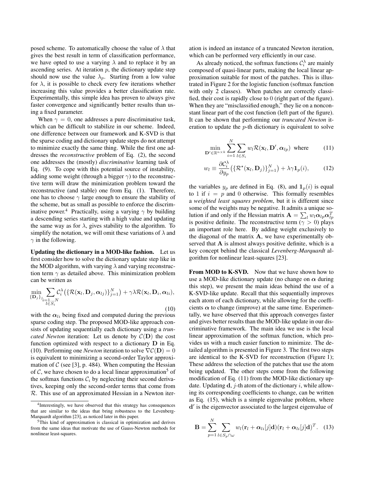posed scheme. To automatically choose the value of  $\lambda$  that gives the best result in term of classification performance, we have opted to use a varying  $\lambda$  and to replace it by an ascending series. At iteration  $p$ , the dictionary update step should now use the value  $\lambda_p$ . Starting from a low value for  $\lambda$ , it is possible to check every few iterations whether increasing this value provides a better classification rate. Experimentally, this simple idea has proven to always give faster convergence and significantly better results than using a fixed parameter.

When  $\gamma = 0$ , one addresses a pure discriminative task, which can be difficult to stabilize in our scheme. Indeed, one difference between our framework and K-SVD is that the sparse coding and dictionary update steps do not attempt to minimize exactly the same thing. While the first one addresses the *reconstructive* problem of Eq. (2), the second one addresses the (mostly) *discriminative* learning task of Eq. (9). To cope with this potential source of instability, adding some weight (through a bigger  $\gamma$ ) to the reconstructive term will draw the minimization problem toward the reconstructive (and stable) one from Eq. (1). Therefore, one has to choose  $\gamma$  large enough to ensure the stability of the scheme, but as small as possible to enforce the discriminative power.<sup>4</sup> Practically, using a varying  $\gamma$  by building a descending series starting with a high value and updating the same way as for  $\lambda$ , gives stability to the algorithm. To simplify the notation, we will omit these variations of  $\lambda$  and  $\gamma$  in the following.

**Updating the dictionary in a MOD-like fashion.** Let us first consider how to solve the dictionary update step like in the MOD algorithm, with varying  $\lambda$  and varying reconstruction term  $\gamma$  as detailed above. This minimization problem can be written as

$$
\min_{\{\mathbf{D}_j\}_{j_i=1...N}} \sum_{l \in S_i} C_i^{\lambda} \big( \{ \mathcal{R}(\mathbf{x}_l, \mathbf{D}_j, \boldsymbol{\alpha}_{lj}) \}_{j=1}^N \big) + \gamma \lambda \mathcal{R}(\mathbf{x}_l, \mathbf{D}_i, \boldsymbol{\alpha}_{li}),
$$
\n(10)

with the  $\alpha_{li}$  being fixed and computed during the previous sparse coding step. The proposed MOD-like approach consists of updating sequentially each dictionary using a *truncated Newton* iteration: Let us denote by  $C(D)$  the cost function optimized with respect to a dictionary D in Eq. (10). Performing one *Newton* iteration to solve  $\nabla \mathcal{C}(\mathbf{D}) = 0$ is equivalent to minimizing a second-order Taylor approximation of C (see [3], p. 484). When computing the Hessian of  $\mathcal{C}$ , we have chosen to do a local linear approximation<sup>5</sup> of the softmax functions  $C_i$  by neglecting their second derivatives, keeping only the second-order terms that come from R. This use of an approximated Hessian in a Newton iteration is indeed an instance of a truncated Newton iteration, which can be performed very efficiently in our case.

As already noticed, the softmax functions  $C_i^{\lambda}$  are mainly composed of quasi-linear parts, making the local linear approximation suitable for most of the patches. This is illustrated in Figure 2 for the logistic function (softmax function with only 2 classes). When patches are correctly classified, their cost is rapidly close to 0 (right part of the figure). When they are "misclassified enough," they lie on a nonconstant linear part of the cost function (left part of the figure). It can be shown that performing our *truncated Newton* iteration to update the  $p$ -th dictionary is equivalent to solve

$$
\min_{\mathbf{D}' \in \mathbb{R}^{n \times k}} \sum_{i=1}^{N} \sum_{l \in S_i} w_l \mathcal{R}(\mathbf{x}_l, \mathbf{D}', \alpha_{lp}) \text{ where } (11)
$$

$$
w_l \equiv \frac{\partial \mathcal{C}_i^{\lambda}}{\partial y_p} \big( \{ \mathcal{R}^{\star}(\mathbf{x}_l, \mathbf{D}_j) \}_{j=1}^N \big) + \lambda \gamma \mathbf{1}_p(i), \qquad (12)
$$

the variables  $y_p$  are defined in Eq. (8), and  $\mathbf{1}_p(i)$  is equal to 1 if  $i = p$  and 0 otherwise. This formally resembles a *weighted least squares problem*, but it is different since some of the weights may be negative. It admits a unique solution if and only if the Hessian matrix  $\mathbf{A} = \sum_l w_l \alpha_{lp} \alpha_{lp}^T$ is positive definite. The reconstructive term ( $\gamma > 0$ ) plays an important role here. By adding weight exclusively to the diagonal of the matrix  $A$ , we have experimentally observed that  $A$  is almost always positive definite, which is a key concept behind the classical *Levenberg-Marquardt* algorithm for nonlinear least-squares [23].

From MOD to K-SVD. Now that we have shown how to use a MOD-like dictionary update (no change on  $\alpha$  during this step), we present the main ideas behind the use of a K-SVD-like update. Recall that this sequentially improves each atom of each dictionary, while allowing for the coefficients  $\alpha$  to change (improve) at the same time. Experimentally, we have observed that this approach converges faster and gives better results than the MOD-like update in our discriminative framework. The main idea we use is the local linear approximation of the softmax function, which provides us with a much easier function to minimize. The detailed algorithm is presented in Figure 3. The first two steps are identical to the K-SVD for reconstruction (Figure 1); These address the selection of the patches that use the atom being updated. The other steps come from the following modification of Eq. (11) from the MOD-like dictionary update. Updating  $\mathbf d$ , *j*-th atom of the dictionary *i*, while allowing its corresponding coefficients to change, can be written as Eq. (15), which is a simple eigenvalue problem, where d ′ is the eigenvector associated to the largest eigenvalue of

$$
\mathbf{B} = \sum_{p=1}^{N} \sum_{l \in S_p \cap \omega} w_l (\mathbf{r}_l + \boldsymbol{\alpha}_{li}[j] \mathbf{d}) (\mathbf{r}_l + \boldsymbol{\alpha}_{li}[j] \mathbf{d})^T.
$$
 (13)

<sup>4</sup> Interestingly, we have observed that this strategy has consequences that are similar to the ideas that bring robustness to the Levenberg-Marquardt algorithm [23], as noticed later in this paper.

<sup>5</sup>This kind of approximation is classical in optimization and derives from the same ideas that motivate the use of Gauss-Newton methods for nonlinear least-squares.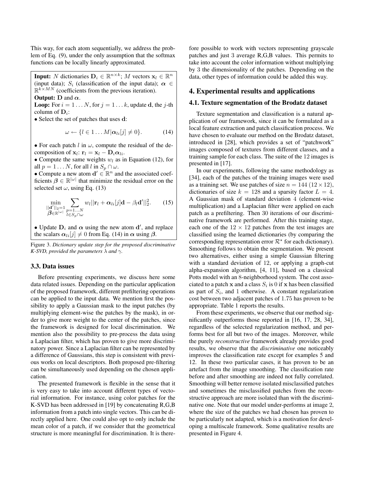This way, for each atom sequentially, we address the problem of Eq. (9), under the only assumption that the softmax functions can be locally linearly approximated.

**Input:** N dictionaries  $\mathbf{D}_i \in \mathbb{R}^{n \times k}$ ; M vectors  $\mathbf{x}_l \in \mathbb{R}^n$ (input data);  $S_i$  (classification of the input data);  $\alpha \in$  $\mathbb{R}^{k \times MN}$  (coefficients from the previous iteration).

**Output:** D and  $\alpha$ .

**Loop:** For  $i = 1...N$ , for  $j = 1...k$ , update **d**, the j-th column of  $\mathbf{D}_i$ :

• Select the set of patches that uses **d**:

$$
\omega \leftarrow \{l \in 1 \dots M | \alpha_{li}[j] \neq 0\}.
$$
 (14)

• For each patch l in  $\omega$ , compute the residual of the decomposition of  $\mathbf{x}_l$ :  $\mathbf{r}_l = \mathbf{x}_l - \mathbf{D}_i \alpha_{li}$ .

• Compute the same weights  $w_l$  as in Equation (12), for all  $p = 1 \dots N$ , for all l in  $S_p \cap \omega$ .

• Compute a new atom  $\mathbf{d}' \in \mathbb{R}^n$  and the associated coefficients  $\beta \in \mathbb{R}^{|\omega|}$  that minimize the residual error on the selected set  $\omega$ , using Eq. (13)

$$
\min_{\substack{||\mathbf{d}'||_2=1\\ \boldsymbol{\beta}\in\mathbb{R}^{|\omega|}}}\sum_{\substack{p=1...N\\ l\in S_p\cap\omega}}w_l||\mathbf{r}_l+\boldsymbol{\alpha}_{li}[j]\mathbf{d}-\beta_l\mathbf{d}'||_2^2.
$$
 (15)

• Update  $D_i$  and  $\alpha$  using the new atom  $d'$ , and replace the scalars  $\alpha_{li}[j] \neq 0$  from Eq. (14) in  $\alpha$  using  $\beta$ .

Figure 3. *Dictionary update step for the proposed discriminative K*-*SVD, provided the parameters*  $\lambda$  *and*  $\gamma$ *.* 

#### **3.3. Data issues**

Before presenting experiments, we discuss here some data related issues. Depending on the particular application of the proposed framework, different prefiltering operations can be applied to the input data. We mention first the possibility to apply a Gaussian mask to the input patches (by multiplying element-wise the patches by the mask), in order to give more weight to the center of the patches, since the framework is designed for local discrimination. We mention also the possibility to pre-process the data using a Laplacian filter, which has proven to give more discriminatory power. Since a Laplacian filter can be represented by a difference of Gaussians, this step is consistent with previous works on local descriptors. Both proposed pre-filtering can be simultaneously used depending on the chosen application.

The presented framework is flexible in the sense that it is very easy to take into account different types of vectorial information. For instance, using color patches for the K-SVD has been addressed in [19] by concatenating R,G,B information from a patch into single vectors. This can be directly applied here. One could also opt to only include the mean color of a patch, if we consider that the geometrical structure is more meaningful for discrimination. It is therefore possible to work with vectors representing grayscale patches and just 3 average R,G,B values. This permits to take into account the color information without multiplying by 3 the dimensionality of the patches. Depending on the data, other types of information could be added this way.

## **4. Experimental results and applications**

#### **4.1. Texture segmentation of the Brodatz dataset**

Texture segmentation and classification is a natural application of our framework, since it can be formulated as a local feature extraction and patch classification process. We have chosen to evaluate our method on the Brodatz dataset, introduced in [28], which provides a set of "patchwork" images composed of textures from different classes, and a training sample for each class. The suite of the 12 images is presented in [17].

In our experiments, following the same methodology as [34], each of the patches of the training images were used as a training set. We use patches of size  $n = 144 (12 \times 12)$ , dictionaries of size  $k = 128$  and a sparsity factor  $L = 4$ . A Gaussian mask of standard deviation 4 (element-wise multiplication) and a Laplacian filter were applied on each patch as a prefiltering. Then 30 iterations of our discriminative framework are performed. After this training stage, each one of the  $12 \times 12$  patches from the test images are classified using the learned dictionaries (by comparing the corresponding representation error  $\mathcal{R}^*$  for each dictionary). Smoothing follows to obtain the segmentation. We present two alternatives, either using a simple Gaussian filtering with a standard deviation of 12, or applying a graph-cut alpha-expansion algorithm, [4, 11], based on a classical Potts model with an 8-neighborhood system. The cost associated to a patch x and a class  $S_i$  is 0 if x has been classified as part of  $S_i$ , and 1 otherwise. A constant regularization cost between two adjacent patches of 1.75 has proven to be appropriate. Table 1 reports the results.

From these experiments, we observe that our method significantly outperforms those reported in [16, 17, 28, 34], regardless of the selected regularization method, and performs best for all but two of the images. Moreover, while the purely *reconstructive* framework already provides good results, we observe that the *discriminative* one noticeably improves the classification rate except for examples 5 and 12. In these two particular cases, it has proven to be an artefact from the image smoothing. The classification rate before and after smoothing are indeed not fully correlated. Smoothing will better remove isolated misclassified patches and sometimes the misclassified patches from the reconstructive approach are more isolated than with the discriminative one. Note that our model under-performs at image 2, where the size of the patches we had chosen has proven to be particularly not adapted, which is a motivation for developing a multiscale framework. Some qualitative results are presented in Figure 4.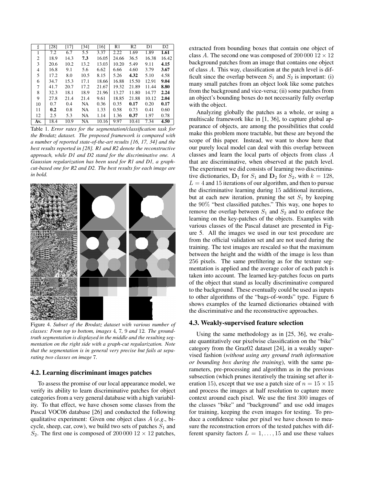| Þ   | [28] | [17] | [34] | [16]  | R1    | R <sub>2</sub> | D1    | D <sub>2</sub> |
|-----|------|------|------|-------|-------|----------------|-------|----------------|
|     | 7.2  | 6.7  | 5.5  | 3.37  | 2.22  | 1.69           | 1.89  | 1.61           |
| 2   | 18.9 | 14.3 | 7.3  | 16.05 | 24.66 | 36.5           | 16.38 | 16.42          |
| 3   | 20.6 | 10.2 | 13.2 | 13.03 | 10.20 | 5.49           | 9.11  | 4.15           |
| 4   | 16.8 | 9.1  | 5.6  | 6.62  | 6.66  | 4.60           | 3.79  | 3.67           |
| 5   | 17.2 | 8.0  | 10.5 | 8.15  | 5.26  | 4.32           | 5.10  | 4.58           |
| 6   | 34.7 | 15.3 | 17.1 | 18.66 | 16.88 | 15.50          | 12.91 | 9.04           |
| 7   | 41.7 | 20.7 | 17.2 | 21.67 | 19.32 | 21.89          | 11.44 | 8.80           |
| 8   | 32.3 | 18.1 | 18.9 | 21.96 | 13.27 | 11.80          | 14.77 | 2.24           |
| 9   | 27.8 | 21.4 | 21.4 | 9.61  | 18.85 | 21.88          | 10.12 | 2.04           |
| 10  | 0.7  | 0.4  | NA   | 0.36  | 0.35  | 0.17           | 0.20  | 0.17           |
| 11  | 0.2  | 0.8  | NA   | 1.33  | 0.58  | 0.73           | 0.41  | 0.60           |
| 12  | 2.5  | 5.3  | NA   | 1.14  | 1.36  | 0.37           | 1.97  | 0.78           |
| Av. | 18.4 | 10.9 | NA   | 10.16 | 9.97  | 10.41          | 7.34  | 4.50           |

Table 1. *Error rates for the segmentation/classification task for the Brodatz dataset. The proposed framework is compared with a number of reported state-of-the-art results [16, 17, 34] and the best results reported in [28]. R1 and R2 denote the reconstructive approach, while D1 and D2 stand for the discriminative one. A Gaussian regularization has been used for R1 and D1, a graphcut-based one for R2 and D2. The best results for each image are in bold.*



Figure 4. *Subset of the Brodatz dataset with various number of classes: From top to bottom, images* 4*,* 7*,* 9 *and* 12*. The groundtruth segmentation is displayed in the middle and the resulting segmentation on the right side with a graph-cut regularization. Note that the segmentation is in general very precise but fails at separating two classes on image* 7*.*

#### **4.2. Learning discriminant images patches**

To assess the promise of our local appearance model, we verify its ability to learn discriminative patches for object categories from a very general database with a high variability. To that effect, we have chosen some classes from the Pascal VOC06 database [26] and conducted the following qualitative experiment: Given one object class A (*e.g*., bicycle, sheep, car, cow), we build two sets of patches  $S_1$  and  $S_2$ . The first one is composed of 200 000 12  $\times$  12 patches,

extracted from bounding boxes that contain one object of class A. The second one was composed of  $20000012 \times 12$ background patches from an image that contains one object of class A. This way, classification at the patch level is difficult since the overlap between  $S_1$  and  $S_2$  is important: (i) many small patches from an object look like some patches from the background and vice-versa; (ii) some patches from an object's bounding boxes do not necessarily fully overlap with the object.

Analyzing globally the patches as a whole, or using a multiscale framework like in [1, 36], to capture global appearance of objects, are among the possibilities that could make this problem more tractable, but these are beyond the scope of this paper. Instead, we want to show here that our purely local model can deal with this overlap between classes and learn the local parts of objects from class A that are discriminative, when observed at the patch level. The experiment we did consists of learning two discriminative dictionaries,  $D_1$  for  $S_1$  and  $D_2$  for  $S_2$ , with  $k = 128$ ,  $L = 4$  and 15 iterations of our algorithm, and then to pursue the discriminative learning during 15 additional iterations, but at each new iteration, pruning the set  $S_1$  by keeping the 90% "best classified patches." This way, one hopes to remove the overlap between  $S_1$  and  $S_2$  and to enforce the learning on the key-patches of the objects. Examples with various classes of the Pascal dataset are presented in Figure 5. All the images we used in our test procedure are from the official validation set and are not used during the training. The test images are rescaled so that the maximum between the height and the width of the image is less than 256 pixels. The same prefiltering as for the texture segmentation is applied and the average color of each patch is taken into account. The learned key-patches focus on parts of the object that stand as locally discriminative compared to the background. These eventually could be used as inputs to other algorithms of the "bags-of-words" type. Figure 6 shows examples of the learned dictionaries obtained with the discriminative and the reconstructive approaches.

### **4.3. Weakly-supervised feature selection**

Using the same methodology as in [25, 36], we evaluate quantitatively our pixelwise classification on the "bike" category from the Graz02 dataset [24], in a weakly supervised fashion (*without using any ground truth information or bounding box during the training*), with the same parameters, pre-processing and algorithm as in the previous subsection (which prunes iteratively the training set after iteration 15), except that we use a patch size of  $n = 15 \times 15$ and process the images at half resolution to capture more context around each pixel. We use the first 300 images of the classes "bike" and "background" and use odd images for training, keeping the even images for testing. To produce a confidence value per pixel we have chosen to measure the reconstruction errors of the tested patches with different sparsity factors  $L = 1, \ldots, 15$  and use these values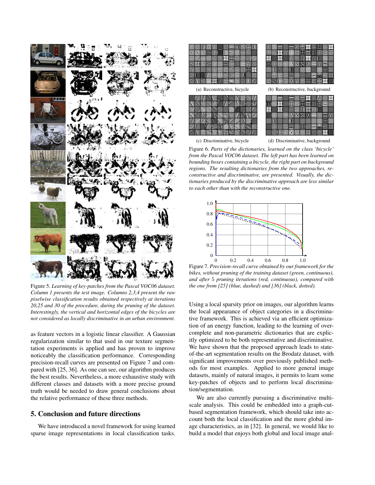

Figure 5. *Learning of key-patches from the Pascal VOC06 dataset. Column 1 presents the test image. Columns 2,3,4 present the raw pixelwise classification results obtained respectively at iterations 20,25 and 30 of the procedure, during the pruning of the dataset. Interestingly, the vertical and horizontal edges of the bicycles are not considered as locally discriminative in an urban environment.*

as feature vectors in a logistic linear classifier. A Gaussian regularization similar to that used in our texture segmentation experiments is applied and has proven to improve noticeably the classification performance. Corresponding precision-recall curves are presented on Figure 7 and compared with [25, 36]. As one can see, our algorithm produces the best results. Nevertheless, a more exhaustive study with different classes and datasets with a more precise ground truth would be needed to draw general conclusions about the relative performance of these three methods.

# **5. Conclusion and future directions**

We have introduced a novel framework for using learned sparse image representations in local classification tasks.



Figure 6. *Parts of the dictionaries, learned on the class 'bicycle' from the Pascal VOC06 dataset. The left part has been learned on bounding boxes containing a bicycle, the right part on background regions. The resulting dictionaries from the two approaches, reconstructive and discriminative, are presented. Visually, the dictionaries produced by the discriminative approach are less similar to each other than with the reconstructive one.*



Figure 7. *Precision-recall curve obtained by our framework for the bikes, without pruning of the training dataset (green, continuous), and after* 5 *pruning iterations (red, continuous), compared with the one from [25] (blue, dashed) and [36] (black, dotted).*

Using a local sparsity prior on images, our algorithm learns the local appearance of object categories in a discriminative framework. This is achieved via an efficient optimization of an energy function, leading to the learning of overcomplete and non-parametric dictionaries that are explicitly optimized to be both representative and discriminative. We have shown that the proposed approach leads to stateof-the-art segmentation results on the Brodatz dataset, with significant improvements over previously published methods for most examples. Applied to more general image datasets, mainly of natural images, it permits to learn some key-patches of objects and to perform local discrimination/segmentation.

We are also currently pursuing a discriminative multiscale analysis. This could be embedded into a graph-cutbased segmentation framework, which should take into account both the local classification and the more global image characteristics, as in [32]. In general, we would like to build a model that enjoys both global and local image anal